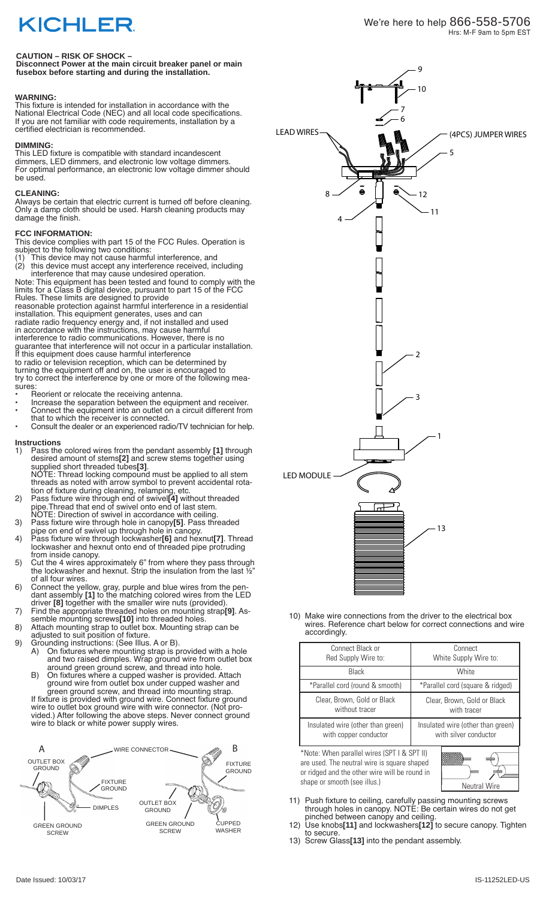## **KICHLER**

### **CAUTION – RISK OF SHOCK –**

**Disconnect Power at the main circuit breaker panel or main fusebox before starting and during the installation.** 

### **WARNING:**

This fixture is intended for installation in accordance with the National Electrical Code (NEC) and all local code specifications. If you are not familiar with code requirements, installation by a certified electrician is recommended.

### **DIMMING:**

This LED fixture is compatible with standard incandescent dimmers, LED dimmers, and electronic low voltage dimmers. For optimal performance, an electronic low voltage dimmer should be used.

### **CLEANING:**

Always be certain that electric current is turned off before cleaning. Only a damp cloth should be used. Harsh cleaning products may damage the finish.

### **FCC INFORMATION:**

This device complies with part 15 of the FCC Rules. Operation is subject to the following two conditions:

(1) This device may not cause harmful interference, and (2) this device must accept any interference received, including

interference that may cause undesired operation. Note: This equipment has been tested and found to comply with the limits for a Class B digital device, pursuant to part 15 of the FCC Rules. These limits are designed to provide

reasonable protection against harmful interference in a residential installation. This equipment generates, uses and can

radiate radio frequency energy and, if not installed and used in accordance with the instructions, may cause harmful interference to radio communications. However, there is no guarantee that interference will not occur in a particular installation. If this equipment does cause harmful interference to radio or television reception, which can be determined by turning the equipment off and on, the user is encouraged to

try to correct the interference by one or more of the following measures

- Reorient or relocate the receiving antenna.
- Increase the separation between the equipment and receiver. • Connect the equipment into an outlet on a circuit different from
- that to which the receiver is connected. • Consult the dealer or an experienced radio/TV technician for help.

### **Instructions**<br>1) Pass the

- 1) Pass the colored wires from the pendant assembly **[1]** through desired amount of stems**[2]** and screw stems together using supplied short threaded tubes**[3]**. NOTE: Thread locking compound must be applied to all stem threads as noted with arrow symbol to prevent accidental rota-
- tion of fixture during cleaning, relamping, etc. 2) Pass fixture wire through end of swivel**[4]** without threaded pipe.Thread that end of swivel onto end of last stem.
- NOTE: Direction of swivel in accordance with ceiling. 3) Pass fixture wire through hole in canopy**[5]**. Pass threaded pipe on end of swivel up through hole in canopy.
- 4) Pass fixture wire through lockwasher**[6]** and hexnut**[7]**. Thread lockwasher and hexnut onto end of threaded pipe protruding from inside canopy.
- 5) Cut the 4 wires approximately 6" from where they pass through the lockwasher and hexnut. Strip the insulation from the last ½" of all four wires.
- 6) Connect the yellow, gray, purple and blue wires from the pendant assembly **[1]** to the matching colored wires from the LED driver **[8]** together with the smaller wire nuts (provided).
- 7) Find the appropriate threaded holes on mounting strap**[9]**. Assemble mounting screws**[10]** into threaded holes.
- 8) Attach mounting strap to outlet box. Mounting strap can be adjusted to suit position of fixture.
- 9) Grounding instructions: (See Illus. A or B).

wire to black or white power supply wires.

- A) On fixtures where mounting strap is provided with a hole and two raised dimples. Wrap ground wire from outlet box around green ground screw, and thread into hole.
- B) On fixtures where a cupped washer is provided. Attach ground wire from outlet box under cupped washer and green ground screw, and thread into mounting strap. If fixture is provided with ground wire. Connect fixture ground wire to outlet box ground wire with wire connector. (Not provided.) After following the above steps. Never connect ground





10) Make wire connections from the driver to the electrical box wires. Reference chart below for correct connections and wire accordingly.

| Connect Black or                  | Connect                           |
|-----------------------------------|-----------------------------------|
| Red Supply Wire to:               | White Supply Wire to:             |
| Black                             | White                             |
| *Parallel cord (round & smooth)   | *Parallel cord (square & ridged)  |
| Clear, Brown, Gold or Black       | Clear, Brown, Gold or Black       |
| without tracer                    | with tracer                       |
| Insulated wire (other than green) | Insulated wire (other than green) |
| with copper conductor             | with silver conductor             |

\*Note: When parallel wires (SPT I & SPT II) are used. The neutral wire is square shaped or ridged and the other wire will be round in shape or smooth (see illus.) Neutral Wire



- 11) Push fixture to ceiling, carefully passing mounting screws through holes in canopy. NOTE: Be certain wires do not get pinched between canopy and ceiling.
- 12) Use knobs**[11]** and lockwashers**[12]** to secure canopy. Tighten to secure.
- 13) Screw Glass**[13]** into the pendant assembly.